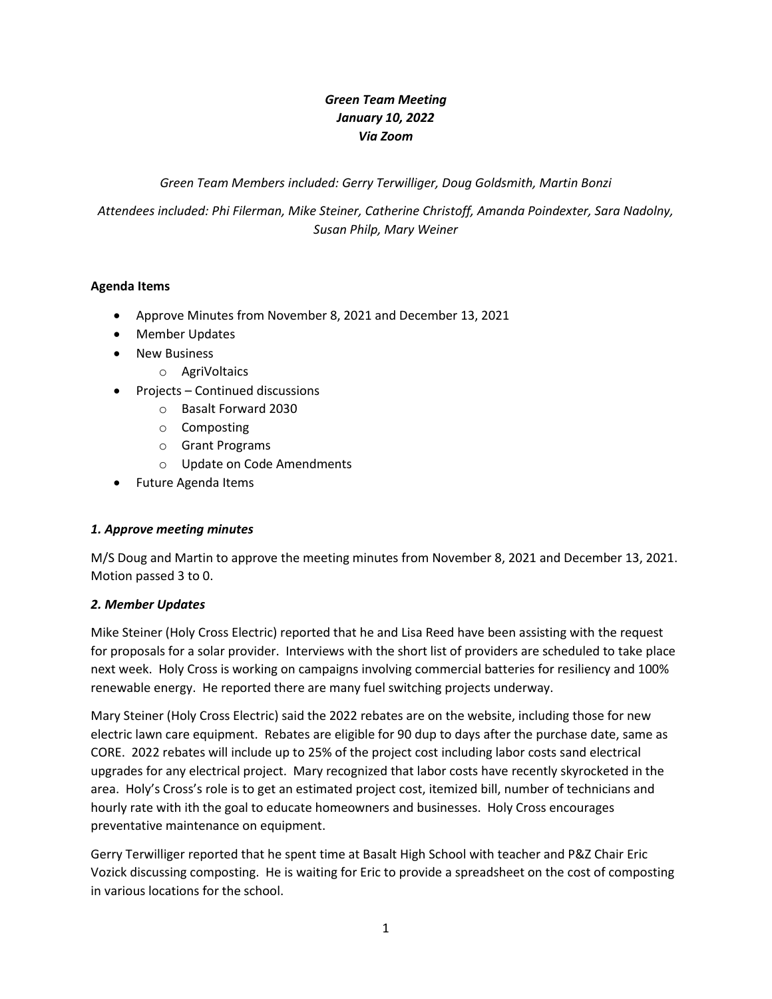# *Green Team Meeting January 10, 2022 Via Zoom*

*Green Team Members included: Gerry Terwilliger, Doug Goldsmith, Martin Bonzi*

*Attendees included: Phi Filerman, Mike Steiner, Catherine Christoff, Amanda Poindexter, Sara Nadolny, Susan Philp, Mary Weiner*

### **Agenda Items**

- Approve Minutes from November 8, 2021 and December 13, 2021
- Member Updates
- New Business
	- o AgriVoltaics
- Projects Continued discussions
	- o Basalt Forward 2030
	- o Composting
	- o Grant Programs
	- o Update on Code Amendments
- Future Agenda Items

#### *1. Approve meeting minutes*

M/S Doug and Martin to approve the meeting minutes from November 8, 2021 and December 13, 2021. Motion passed 3 to 0.

#### *2. Member Updates*

Mike Steiner (Holy Cross Electric) reported that he and Lisa Reed have been assisting with the request for proposals for a solar provider. Interviews with the short list of providers are scheduled to take place next week. Holy Cross is working on campaigns involving commercial batteries for resiliency and 100% renewable energy. He reported there are many fuel switching projects underway.

Mary Steiner (Holy Cross Electric) said the 2022 rebates are on the website, including those for new electric lawn care equipment. Rebates are eligible for 90 dup to days after the purchase date, same as CORE. 2022 rebates will include up to 25% of the project cost including labor costs sand electrical upgrades for any electrical project. Mary recognized that labor costs have recently skyrocketed in the area. Holy's Cross's role is to get an estimated project cost, itemized bill, number of technicians and hourly rate with ith the goal to educate homeowners and businesses. Holy Cross encourages preventative maintenance on equipment.

Gerry Terwilliger reported that he spent time at Basalt High School with teacher and P&Z Chair Eric Vozick discussing composting. He is waiting for Eric to provide a spreadsheet on the cost of composting in various locations for the school.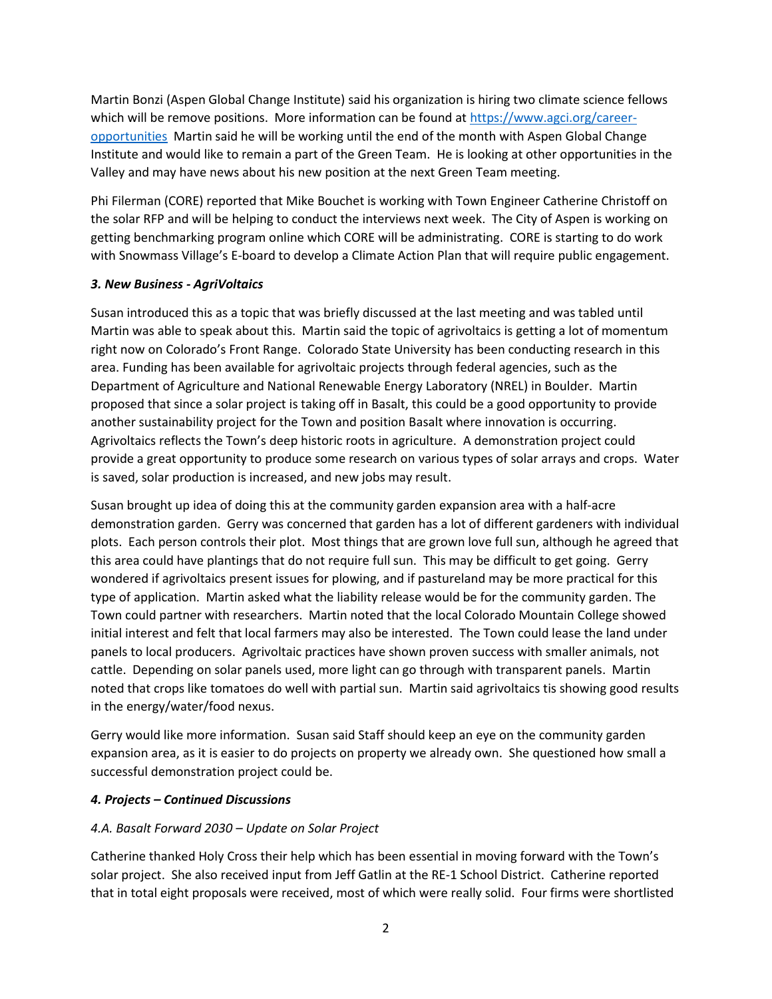Martin Bonzi (Aspen Global Change Institute) said his organization is hiring two climate science fellows which will be remove positions. More information can be found at [https://www.agci.org/career](https://www.agci.org/career-opportunities)[opportunities](https://www.agci.org/career-opportunities) Martin said he will be working until the end of the month with Aspen Global Change Institute and would like to remain a part of the Green Team. He is looking at other opportunities in the Valley and may have news about his new position at the next Green Team meeting.

Phi Filerman (CORE) reported that Mike Bouchet is working with Town Engineer Catherine Christoff on the solar RFP and will be helping to conduct the interviews next week. The City of Aspen is working on getting benchmarking program online which CORE will be administrating. CORE is starting to do work with Snowmass Village's E-board to develop a Climate Action Plan that will require public engagement.

### *3. New Business - AgriVoltaics*

Susan introduced this as a topic that was briefly discussed at the last meeting and was tabled until Martin was able to speak about this. Martin said the topic of agrivoltaics is getting a lot of momentum right now on Colorado's Front Range. Colorado State University has been conducting research in this area. Funding has been available for agrivoltaic projects through federal agencies, such as the Department of Agriculture and National Renewable Energy Laboratory (NREL) in Boulder. Martin proposed that since a solar project is taking off in Basalt, this could be a good opportunity to provide another sustainability project for the Town and position Basalt where innovation is occurring. Agrivoltaics reflects the Town's deep historic roots in agriculture. A demonstration project could provide a great opportunity to produce some research on various types of solar arrays and crops. Water is saved, solar production is increased, and new jobs may result.

Susan brought up idea of doing this at the community garden expansion area with a half-acre demonstration garden. Gerry was concerned that garden has a lot of different gardeners with individual plots. Each person controls their plot. Most things that are grown love full sun, although he agreed that this area could have plantings that do not require full sun. This may be difficult to get going. Gerry wondered if agrivoltaics present issues for plowing, and if pastureland may be more practical for this type of application. Martin asked what the liability release would be for the community garden. The Town could partner with researchers. Martin noted that the local Colorado Mountain College showed initial interest and felt that local farmers may also be interested. The Town could lease the land under panels to local producers. Agrivoltaic practices have shown proven success with smaller animals, not cattle. Depending on solar panels used, more light can go through with transparent panels. Martin noted that crops like tomatoes do well with partial sun. Martin said agrivoltaics tis showing good results in the energy/water/food nexus.

Gerry would like more information. Susan said Staff should keep an eye on the community garden expansion area, as it is easier to do projects on property we already own. She questioned how small a successful demonstration project could be.

#### *4. Projects – Continued Discussions*

## *4.A. Basalt Forward 2030 – Update on Solar Project*

Catherine thanked Holy Cross their help which has been essential in moving forward with the Town's solar project. She also received input from Jeff Gatlin at the RE-1 School District. Catherine reported that in total eight proposals were received, most of which were really solid. Four firms were shortlisted